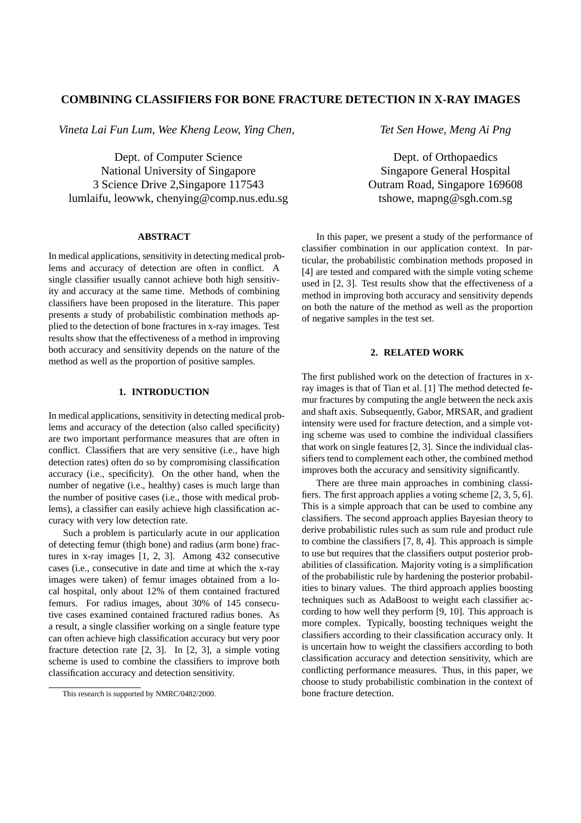# **COMBINING CLASSIFIERS FOR BONE FRACTURE DETECTION IN X-RAY IMAGES**

*Vineta Lai Fun Lum, Wee Kheng Leow, Ying Chen,*

Dept. of Computer Science National University of Singapore 3 Science Drive 2,Singapore 117543 lumlaifu, leowwk, chenying@comp.nus.edu.sg

## **ABSTRACT**

In medical applications, sensitivity in detecting medical problems and accuracy of detection are often in conflict. A single classifier usually cannot achieve both high sensitivity and accuracy at the same time. Methods of combining classifiers have been proposed in the literature. This paper presents a study of probabilistic combination methods applied to the detection of bone fractures in x-ray images. Test results show that the effectiveness of a method in improving both accuracy and sensitivity depends on the nature of the method as well as the proportion of positive samples.

## **1. INTRODUCTION**

In medical applications, sensitivity in detecting medical problems and accuracy of the detection (also called specificity) are two important performance measures that are often in conflict. Classifiers that are very sensitive (i.e., have high detection rates) often do so by compromising classification accuracy (i.e., specificity). On the other hand, when the number of negative (i.e., healthy) cases is much large than the number of positive cases (i.e., those with medical problems), a classifier can easily achieve high classification accuracy with very low detection rate.

Such a problem is particularly acute in our application of detecting femur (thigh bone) and radius (arm bone) fractures in x-ray images [1, 2, 3]. Among 432 consecutive cases (i.e., consecutive in date and time at which the x-ray images were taken) of femur images obtained from a local hospital, only about 12% of them contained fractured femurs. For radius images, about 30% of 145 consecutive cases examined contained fractured radius bones. As a result, a single classifier working on a single feature type can often achieve high classification accuracy but very poor fracture detection rate [2, 3]. In [2, 3], a simple voting scheme is used to combine the classifiers to improve both classification accuracy and detection sensitivity.

*Tet Sen Howe, Meng Ai Png*

Dept. of Orthopaedics Singapore General Hospital Outram Road, Singapore 169608 tshowe, mapng@sgh.com.sg

In this paper, we present a study of the performance of classifier combination in our application context. In particular, the probabilistic combination methods proposed in [4] are tested and compared with the simple voting scheme used in [2, 3]. Test results show that the effectiveness of a method in improving both accuracy and sensitivity depends on both the nature of the method as well as the proportion of negative samples in the test set.

# **2. RELATED WORK**

The first published work on the detection of fractures in xray images is that of Tian et al. [1] The method detected femur fractures by computing the angle between the neck axis and shaft axis. Subsequently, Gabor, MRSAR, and gradient intensity were used for fracture detection, and a simple voting scheme was used to combine the individual classifiers that work on single features [2, 3]. Since the individual classifiers tend to complement each other, the combined method improves both the accuracy and sensitivity significantly.

There are three main approaches in combining classifiers. The first approach applies a voting scheme [2, 3, 5, 6]. This is a simple approach that can be used to combine any classifiers. The second approach applies Bayesian theory to derive probabilistic rules such as sum rule and product rule to combine the classifiers [7, 8, 4]. This approach is simple to use but requires that the classifiers output posterior probabilities of classification. Majority voting is a simplification of the probabilistic rule by hardening the posterior probabilities to binary values. The third approach applies boosting techniques such as AdaBoost to weight each classifier according to how well they perform [9, 10]. This approach is more complex. Typically, boosting techniques weight the classifiers according to their classification accuracy only. It is uncertain how to weight the classifiers according to both classification accuracy and detection sensitivity, which are conflicting performance measures. Thus, in this paper, we choose to study probabilistic combination in the context of bone fracture detection.

This research is supported by NMRC/0482/2000.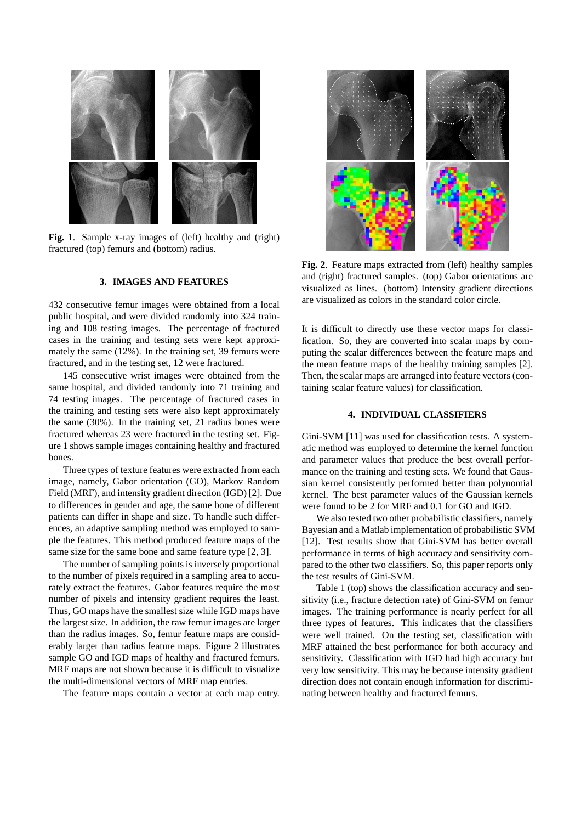

Fig. 1. Sample x-ray images of (left) healthy and (right) fractured (top) femurs and (bottom) radius.

#### **3. IMAGES AND FEATURES**

432 consecutive femur images were obtained from a local public hospital, and were divided randomly into 324 training and 108 testing images. The percentage of fractured cases in the training and testing sets were kept approximately the same (12%). In the training set, 39 femurs were fractured, and in the testing set, 12 were fractured.

145 consecutive wrist images were obtained from the same hospital, and divided randomly into 71 training and 74 testing images. The percentage of fractured cases in the training and testing sets were also kept approximately the same (30%). In the training set, 21 radius bones were fractured whereas 23 were fractured in the testing set. Figure 1 shows sample images containing healthy and fractured bones.

Three types of texture features were extracted from each image, namely, Gabor orientation (GO), Markov Random Field (MRF), and intensity gradient direction (IGD) [2]. Due to differences in gender and age, the same bone of different patients can differ in shape and size. To handle such differences, an adaptive sampling method was employed to sample the features. This method produced feature maps of the same size for the same bone and same feature type [2, 3].

The number of sampling points is inversely proportional to the number of pixels required in a sampling area to accurately extract the features. Gabor features require the most number of pixels and intensity gradient requires the least. Thus, GO maps have the smallest size while IGD maps have the largest size. In addition, the raw femur images are larger than the radius images. So, femur feature maps are considerably larger than radius feature maps. Figure 2 illustrates sample GO and IGD maps of healthy and fractured femurs. MRF maps are not shown because it is difficult to visualize the multi-dimensional vectors of MRF map entries.

The feature maps contain a vector at each map entry.



**Fig. 2**. Feature maps extracted from (left) healthy samples and (right) fractured samples. (top) Gabor orientations are visualized as lines. (bottom) Intensity gradient directions are visualized as colors in the standard color circle.

It is difficult to directly use these vector maps for classification. So, they are converted into scalar maps by computing the scalar differences between the feature maps and the mean feature maps of the healthy training samples [2]. Then, the scalar maps are arranged into feature vectors (containing scalar feature values) for classification.

## **4. INDIVIDUAL CLASSIFIERS**

Gini-SVM [11] was used for classification tests. A systematic method was employed to determine the kernel function and parameter values that produce the best overall performance on the training and testing sets. We found that Gaussian kernel consistently performed better than polynomial kernel. The best parameter values of the Gaussian kernels were found to be 2 for MRF and 0.1 for GO and IGD.

We also tested two other probabilistic classifiers, namely Bayesian and a Matlab implementation of probabilistic SVM [12]. Test results show that Gini-SVM has better overall performance in terms of high accuracy and sensitivity compared to the other two classifiers. So, this paper reports only the test results of Gini-SVM.

Table 1 (top) shows the classification accuracy and sensitivity (i.e., fracture detection rate) of Gini-SVM on femur images. The training performance is nearly perfect for all three types of features. This indicates that the classifiers were well trained. On the testing set, classification with MRF attained the best performance for both accuracy and sensitivity. Classification with IGD had high accuracy but very low sensitivity. This may be because intensity gradient direction does not contain enough information for discriminating between healthy and fractured femurs.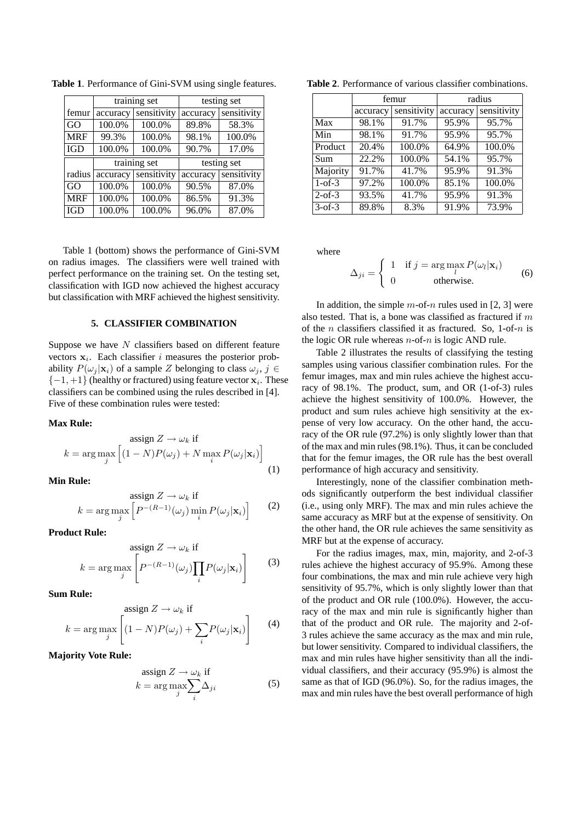|            | training set |              | testing set |             |
|------------|--------------|--------------|-------------|-------------|
| femur      | accuracy     | sensitivity  | accuracy    | sensitivity |
| GO         | 100.0%       | 100.0%       | 89.8%       | 58.3%       |
| <b>MRF</b> | 99.3%        | 100.0%       | 98.1%       | 100.0%      |
| <b>IGD</b> | 100.0%       | 100.0%       | 90.7%       | 17.0%       |
|            |              |              |             |             |
|            |              | training set |             | testing set |
| radius     | accuracy     | sensitivity  | accuracy    | sensitivity |
| GO         | 100.0%       | 100.0%       | 90.5%       | 87.0%       |
| <b>MRF</b> | 100.0%       | 100.0%       | 86.5%       | 91.3%       |

**Table 1**. Performance of Gini-SVM using single features.

Table 1 (bottom) shows the performance of Gini-SVM on radius images. The classifiers were well trained with perfect performance on the training set. On the testing set, classification with IGD now achieved the highest accuracy but classification with MRF achieved the highest sensitivity.

#### **5. CLASSIFIER COMBINATION**

Suppose we have  $N$  classifiers based on different feature vectors  $x_i$ . Each classifier i measures the posterior probability  $P(\omega_j | \mathbf{x}_i)$  of a sample Z belonging to class  $\omega_j$ ,  $j \in$  $\{-1,+1\}$  (healthy or fractured) using feature vector  $x_i$ . These classifiers can be combined using the rules described in [4]. Five of these combination rules were tested:

#### **Max Rule:**

assign 
$$
Z \to \omega_k
$$
 if  
\n
$$
k = \arg \max_{j} \left[ (1 - N)P(\omega_j) + N \max_{i} P(\omega_j | \mathbf{x}_i) \right]
$$
\n(1)

**Min Rule:**

$$
\operatorname*{assign} Z \to \omega_k \text{ if}
$$
\n
$$
k = \arg \max_{j} \left[ P^{-(R-1)}(\omega_j) \min_{i} P(\omega_j | \mathbf{x}_i) \right] \tag{2}
$$

**Product Rule:**

$$
\operatorname{assign} Z \to \omega_k \text{ if}
$$
\n
$$
k = \arg \max_{j} \left[ P^{-(R-1)}(\omega_j) \prod_i P(\omega_j | \mathbf{x}_i) \right] \tag{3}
$$

**Sum Rule:**

$$
\operatorname{assign} Z \to \omega_k \text{ if}
$$
\n
$$
k = \arg \max_{j} \left[ (1 - N)P(\omega_j) + \sum_{i} P(\omega_j | \mathbf{x}_i) \right] \tag{4}
$$

**Majority Vote Rule:**

$$
\operatorname{assign} Z \to \omega_k \text{ if } \\ k = \operatorname{arg} \max_j \sum_i \Delta_{ji} \tag{5}
$$

| <b>Table 2.</b> Performance of various classifier combinations. |  |  |  |
|-----------------------------------------------------------------|--|--|--|
|-----------------------------------------------------------------|--|--|--|

|            |          | femur               | radius   |             |
|------------|----------|---------------------|----------|-------------|
|            | accuracy | sensitivity         | accuracy | sensitivity |
| Max        | 98.1%    | $\overline{91.7\%}$ | 95.9%    | 95.7%       |
| Min        | 98.1%    | 91.7%               | 95.9%    | 95.7%       |
| Product    | 20.4%    | 100.0%              | 64.9%    | 100.0%      |
| <b>Sum</b> | 22.2%    | 100.0%              | 54.1%    | 95.7%       |
| Majority   | 91.7%    | 41.7%               | 95.9%    | 91.3%       |
| $1-of-3$   | 97.2%    | 100.0%              | 85.1%    | 100.0%      |
| $2-of-3$   | 93.5%    | 41.7%               | 95.9%    | 91.3%       |
| $3-0f-3$   | 89.8%    | 8.3%                | $91.9\%$ | 73.9%       |

where

$$
\Delta_{ji} = \begin{cases} 1 & \text{if } j = \arg \max_{l} P(\omega_l | \mathbf{x}_i) \\ 0 & \text{otherwise.} \end{cases}
$$
 (6)

In addition, the simple  $m$ -of-n rules used in [2, 3] were also tested. That is, a bone was classified as fractured if  $m$ of the *n* classifiers classified it as fractured. So, 1-of-*n* is the logic OR rule whereas  $n$ -of- $n$  is logic AND rule.

Table 2 illustrates the results of classifying the testing samples using various classifier combination rules. For the femur images, max and min rules achieve the highest accuracy of 98.1%. The product, sum, and OR (1-of-3) rules achieve the highest sensitivity of 100.0%. However, the product and sum rules achieve high sensitivity at the expense of very low accuracy. On the other hand, the accuracy of the OR rule (97.2%) is only slightly lower than that of the max and min rules (98.1%). Thus, it can be concluded that for the femur images, the OR rule has the best overall performance of high accuracy and sensitivity.

Interestingly, none of the classifier combination methods significantly outperform the best individual classifier (i.e., using only MRF). The max and min rules achieve the same accuracy as MRF but at the expense of sensitivity. On the other hand, the OR rule achieves the same sensitivity as MRF but at the expense of accuracy.

For the radius images, max, min, majority, and 2-of-3 rules achieve the highest accuracy of 95.9%. Among these four combinations, the max and min rule achieve very high sensitivity of 95.7%, which is only slightly lower than that of the product and OR rule (100.0%). However, the accuracy of the max and min rule is significantly higher than that of the product and OR rule. The majority and 2-of-3 rules achieve the same accuracy as the max and min rule, but lower sensitivity. Compared to individual classifiers, the max and min rules have higher sensitivity than all the individual classifiers, and their accuracy (95.9%) is almost the same as that of IGD (96.0%). So, for the radius images, the max and min rules have the best overall performance of high